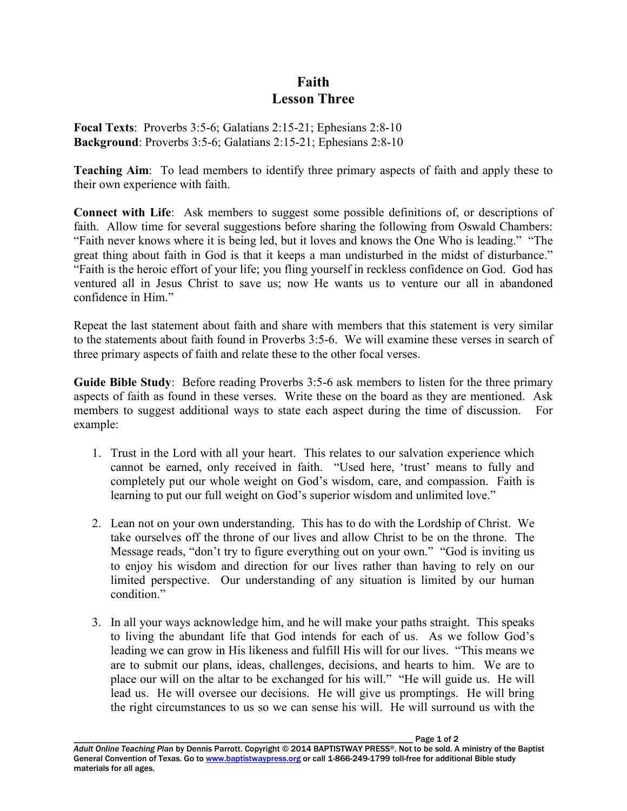## **Faith Lesson Three**

**Focal Texts**: Proverbs 3:5-6; Galatians 2:15-21; Ephesians 2:8-10 **Background**: Proverbs 3:5-6; Galatians 2:15-21; Ephesians 2:8-10

**Teaching Aim**: To lead members to identify three primary aspects of faith and apply these to their own experience with faith.

**Connect with Life**: Ask members to suggest some possible definitions of, or descriptions of faith. Allow time for several suggestions before sharing the following from Oswald Chambers: "Faith never knows where it is being led, but it loves and knows the One Who is leading." "The great thing about faith in God is that it keeps a man undisturbed in the midst of disturbance." "Faith is the heroic effort of your life; you fling yourself in reckless confidence on God. God has ventured all in Jesus Christ to save us; now He wants us to venture our all in abandoned confidence in Him."

Repeat the last statement about faith and share with members that this statement is very similar to the statements about faith found in Proverbs 3:5-6. We will examine these verses in search of three primary aspects of faith and relate these to the other focal verses.

**Guide Bible Study**: Before reading Proverbs 3:5-6 ask members to listen for the three primary aspects of faith as found in these verses. Write these on the board as they are mentioned. Ask members to suggest additional ways to state each aspect during the time of discussion. For example:

- 1. Trust in the Lord with all your heart. This relates to our salvation experience which cannot be earned, only received in faith. "Used here, 'trust' means to fully and completely put our whole weight on God's wisdom, care, and compassion. Faith is learning to put our full weight on God's superior wisdom and unlimited love."
- 2. Lean not on your own understanding. This has to do with the Lordship of Christ. We take ourselves off the throne of our lives and allow Christ to be on the throne. The Message reads, "don't try to figure everything out on your own." "God is inviting us to enjoy his wisdom and direction for our lives rather than having to rely on our limited perspective. Our understanding of any situation is limited by our human condition"
- 3. In all your ways acknowledge him, and he will make your paths straight. This speaks to living the abundant life that God intends for each of us. As we follow God's leading we can grow in His likeness and fulfill His will for our lives. "This means we are to submit our plans, ideas, challenges, decisions, and hearts to him. We are to place our will on the altar to be exchanged for his will." "He will guide us. He will lead us. He will oversee our decisions. He will give us promptings. He will bring the right circumstances to us so we can sense his will. He will surround us with the

Page 1 of 2 *Adult Online Teaching Plan* by Dennis Parrott. Copyright © 2014 BAPTISTWAY PRESS®. Not to be sold. A ministry of the Baptist General Convention of Texas. Go to www.baptistwaypress.org or call 1-866-249-1799 toll-free for additional Bible study materials for all ages.